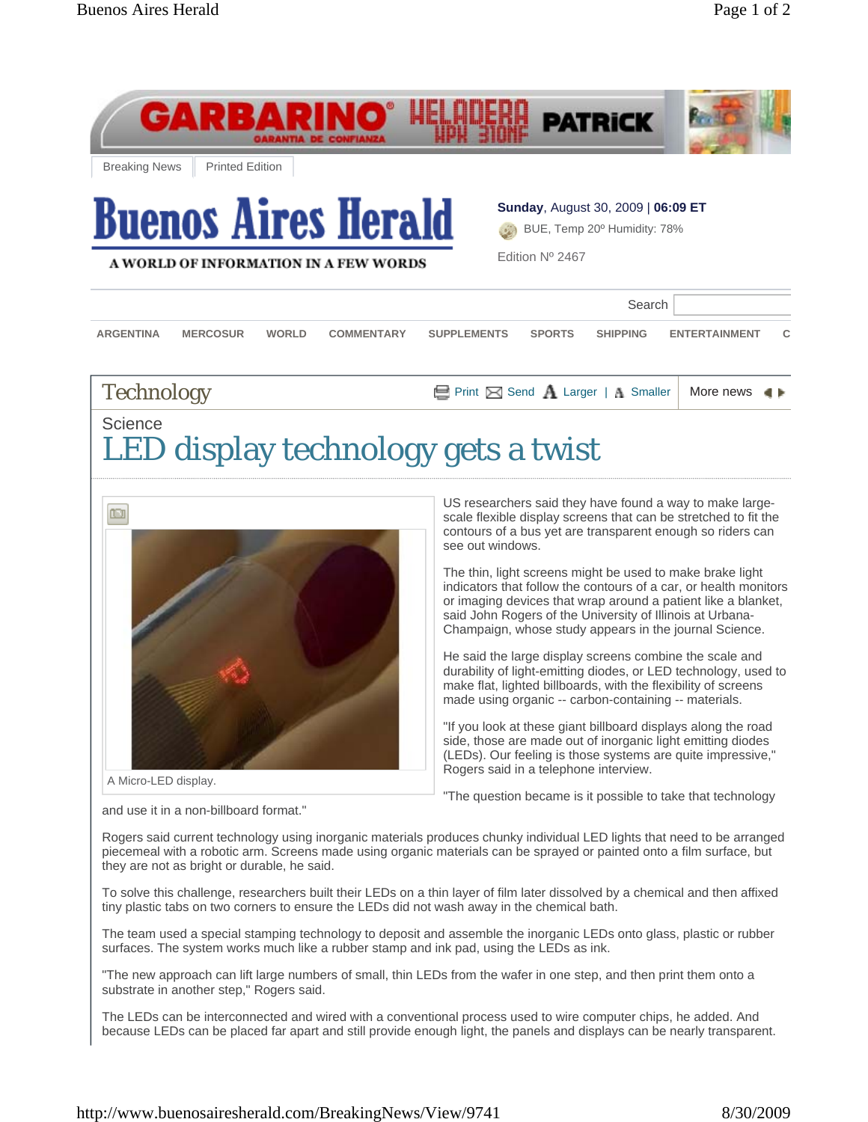A Micro-LED display.

and use it in a non-billboard format."



He said the large display screens combine the scale and durability of light-emitting diodes, or LED technology, used to make flat, lighted billboards, with the flexibility of screens made using organic -- carbon-containing -- materials.

"If you look at these giant billboard displays along the road side, those are made out of inorganic light emitting diodes (LEDs). Our feeling is those systems are quite impressive," Rogers said in a telephone interview.

"The question became is it possible to take that technology

Rogers said current technology using inorganic materials produces chunky individual LED lights that need to be arranged piecemeal with a robotic arm. Screens made using organic materials can be sprayed or painted onto a film surface, but they are not as bright or durable, he said.

To solve this challenge, researchers built their LEDs on a thin layer of film later dissolved by a chemical and then affixed tiny plastic tabs on two corners to ensure the LEDs did not wash away in the chemical bath.

The team used a special stamping technology to deposit and assemble the inorganic LEDs onto glass, plastic or rubber surfaces. The system works much like a rubber stamp and ink pad, using the LEDs as ink.

"The new approach can lift large numbers of small, thin LEDs from the wafer in one step, and then print them onto a substrate in another step," Rogers said.

The LEDs can be interconnected and wired with a conventional process used to wire computer chips, he added. And because LEDs can be placed far apart and still provide enough light, the panels and displays can be nearly transparent.